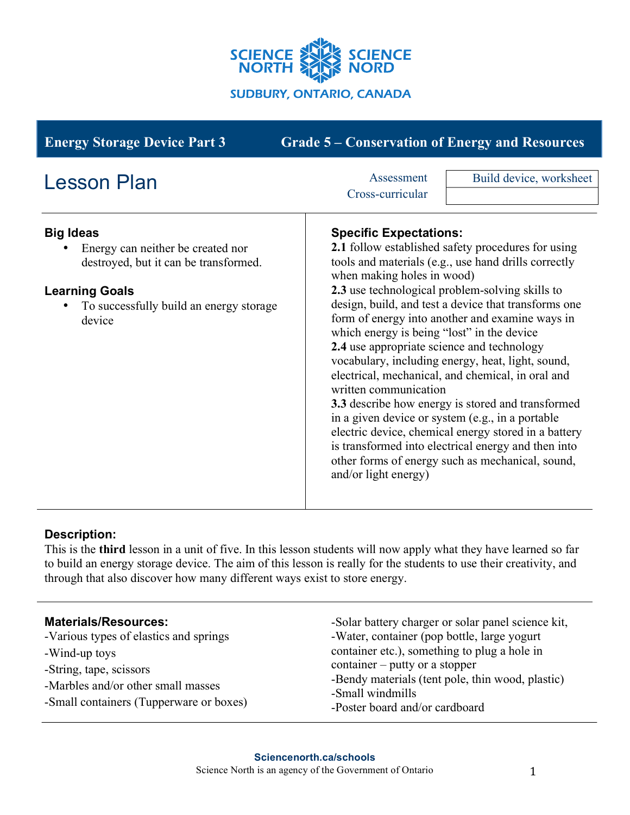

| <b>Grade 5 – Conservation of Energy and Resources</b><br><b>Energy Storage Device Part 3</b>                                                                                 |                                                                                                                                                                                                                                                                                                                                                                                                                                                                                                                                                                                                                                                                                                                                                                                                                                                                            |                         |
|------------------------------------------------------------------------------------------------------------------------------------------------------------------------------|----------------------------------------------------------------------------------------------------------------------------------------------------------------------------------------------------------------------------------------------------------------------------------------------------------------------------------------------------------------------------------------------------------------------------------------------------------------------------------------------------------------------------------------------------------------------------------------------------------------------------------------------------------------------------------------------------------------------------------------------------------------------------------------------------------------------------------------------------------------------------|-------------------------|
| <b>Lesson Plan</b>                                                                                                                                                           | Assessment<br>Cross-curricular                                                                                                                                                                                                                                                                                                                                                                                                                                                                                                                                                                                                                                                                                                                                                                                                                                             | Build device, worksheet |
| <b>Big Ideas</b><br>Energy can neither be created nor<br>destroyed, but it can be transformed.<br><b>Learning Goals</b><br>To successfully build an energy storage<br>device | <b>Specific Expectations:</b><br>2.1 follow established safety procedures for using<br>tools and materials (e.g., use hand drills correctly<br>when making holes in wood)<br>2.3 use technological problem-solving skills to<br>design, build, and test a device that transforms one<br>form of energy into another and examine ways in<br>which energy is being "lost" in the device<br>2.4 use appropriate science and technology<br>vocabulary, including energy, heat, light, sound,<br>electrical, mechanical, and chemical, in oral and<br>written communication<br>3.3 describe how energy is stored and transformed<br>in a given device or system (e.g., in a portable<br>electric device, chemical energy stored in a battery<br>is transformed into electrical energy and then into<br>other forms of energy such as mechanical, sound,<br>and/or light energy) |                         |

# **Description:**

This is the **third** lesson in a unit of five. In this lesson students will now apply what they have learned so far to build an energy storage device. The aim of this lesson is really for the students to use their creativity, and through that also discover how many different ways exist to store energy.

#### **Materials/Resources:** -Various types of elastics and springs -Wind-up toys -String, tape, scissors -Marbles and/or other small masses -Small containers (Tupperware or boxes) -Solar battery charger or solar panel science kit, -Water, container (pop bottle, large yogurt container etc.), something to plug a hole in container – putty or a stopper -Bendy materials (tent pole, thin wood, plastic) -Small windmills -Poster board and/or cardboard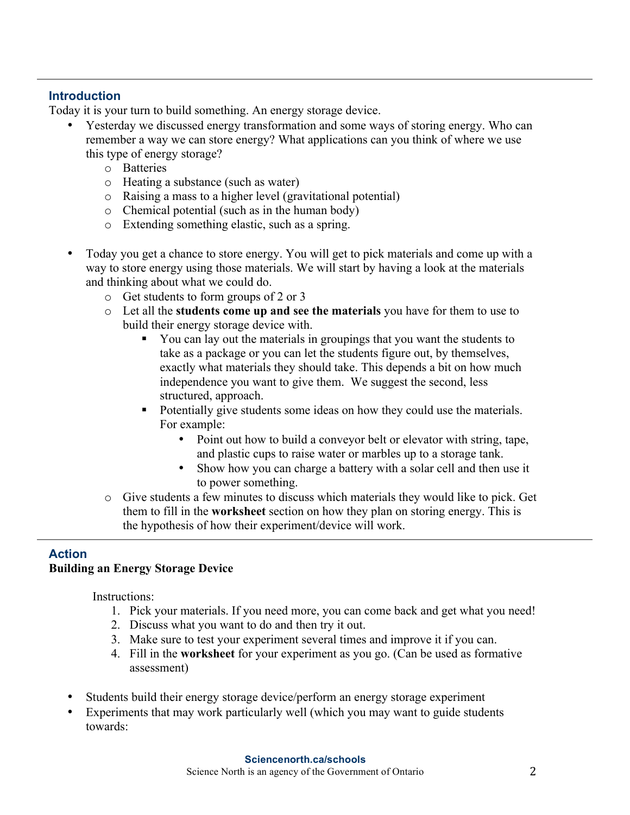## **Introduction**

Today it is your turn to build something. An energy storage device.

- Yesterday we discussed energy transformation and some ways of storing energy. Who can remember a way we can store energy? What applications can you think of where we use this type of energy storage?
	- o Batteries
	- o Heating a substance (such as water)
	- o Raising a mass to a higher level (gravitational potential)
	- o Chemical potential (such as in the human body)
	- o Extending something elastic, such as a spring.
- Today you get a chance to store energy. You will get to pick materials and come up with a way to store energy using those materials. We will start by having a look at the materials and thinking about what we could do.
	- o Get students to form groups of 2 or 3
	- o Let all the **students come up and see the materials** you have for them to use to build their energy storage device with.
		- § You can lay out the materials in groupings that you want the students to take as a package or you can let the students figure out, by themselves, exactly what materials they should take. This depends a bit on how much independence you want to give them. We suggest the second, less structured, approach.
		- § Potentially give students some ideas on how they could use the materials. For example:
			- Point out how to build a conveyor belt or elevator with string, tape, and plastic cups to raise water or marbles up to a storage tank.
			- Show how you can charge a battery with a solar cell and then use it to power something.
	- o Give students a few minutes to discuss which materials they would like to pick. Get them to fill in the **worksheet** section on how they plan on storing energy. This is the hypothesis of how their experiment/device will work.

# **Action**

## **Building an Energy Storage Device**

Instructions:

- 1. Pick your materials. If you need more, you can come back and get what you need!
- 2. Discuss what you want to do and then try it out.
- 3. Make sure to test your experiment several times and improve it if you can.
- 4. Fill in the **worksheet** for your experiment as you go. (Can be used as formative assessment)
- Students build their energy storage device/perform an energy storage experiment
- Experiments that may work particularly well (which you may want to guide students towards: